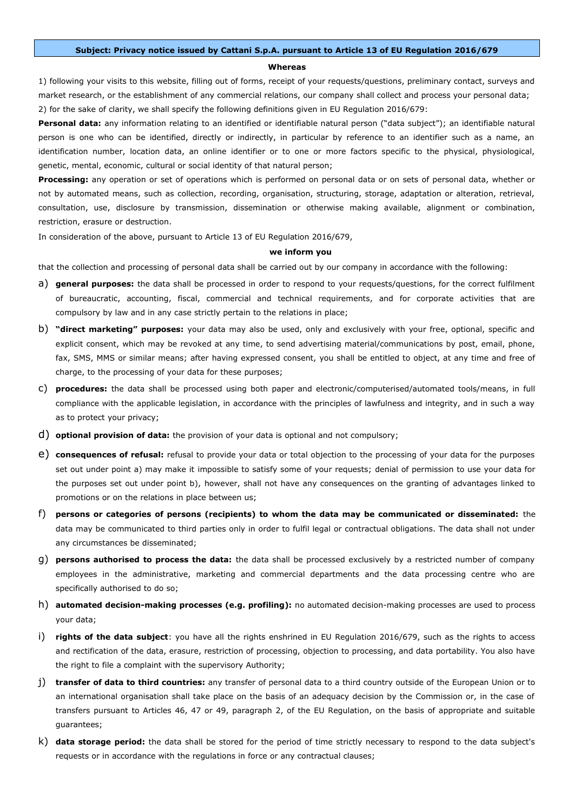## **Subject: Privacy notice issued by Cattani S.p.A. pursuant to Article 13 of EU Regulation 2016/679**

## **Whereas**

1) following your visits to this website, filling out of forms, receipt of your requests/questions, preliminary contact, surveys and market research, or the establishment of any commercial relations, our company shall collect and process your personal data; 2) for the sake of clarity, we shall specify the following definitions given in EU Regulation 2016/679:

**Personal data:** any information relating to an identified or identifiable natural person ("data subject"); an identifiable natural person is one who can be identified, directly or indirectly, in particular by reference to an identifier such as a name, an identification number, location data, an online identifier or to one or more factors specific to the physical, physiological, genetic, mental, economic, cultural or social identity of that natural person;

**Processing:** any operation or set of operations which is performed on personal data or on sets of personal data, whether or not by automated means, such as collection, recording, organisation, structuring, storage, adaptation or alteration, retrieval, consultation, use, disclosure by transmission, dissemination or otherwise making available, alignment or combination, restriction, erasure or destruction.

In consideration of the above, pursuant to Article 13 of EU Regulation 2016/679,

## **we inform you**

that the collection and processing of personal data shall be carried out by our company in accordance with the following:

- a) **general purposes:** the data shall be processed in order to respond to your requests/questions, for the correct fulfilment of bureaucratic, accounting, fiscal, commercial and technical requirements, and for corporate activities that are compulsory by law and in any case strictly pertain to the relations in place;
- b) **"direct marketing" purposes:** your data may also be used, only and exclusively with your free, optional, specific and explicit consent, which may be revoked at any time, to send advertising material/communications by post, email, phone, fax, SMS, MMS or similar means; after having expressed consent, you shall be entitled to object, at any time and free of charge, to the processing of your data for these purposes;
- c) **procedures:** the data shall be processed using both paper and electronic/computerised/automated tools/means, in full compliance with the applicable legislation, in accordance with the principles of lawfulness and integrity, and in such a way as to protect your privacy;
- d) **optional provision of data:** the provision of your data is optional and not compulsory;
- e) **consequences of refusal:** refusal to provide your data or total objection to the processing of your data for the purposes set out under point a) may make it impossible to satisfy some of your requests; denial of permission to use your data for the purposes set out under point b), however, shall not have any consequences on the granting of advantages linked to promotions or on the relations in place between us;
- f) **persons or categories of persons (recipients) to whom the data may be communicated or disseminated:** the data may be communicated to third parties only in order to fulfil legal or contractual obligations. The data shall not under any circumstances be disseminated;
- g) **persons authorised to process the data:** the data shall be processed exclusively by a restricted number of company employees in the administrative, marketing and commercial departments and the data processing centre who are specifically authorised to do so;
- h) **automated decision-making processes (e.g. profiling):** no automated decision-making processes are used to process your data;
- i) **rights of the data subject**: you have all the rights enshrined in EU Regulation 2016/679, such as the rights to access and rectification of the data, erasure, restriction of processing, objection to processing, and data portability. You also have the right to file a complaint with the supervisory Authority;
- j) **transfer of data to third countries:** any transfer of personal data to a third country outside of the European Union or to an international organisation shall take place on the basis of an adequacy decision by the Commission or, in the case of transfers pursuant to Articles 46, 47 or 49, paragraph 2, of the EU Regulation, on the basis of appropriate and suitable guarantees;
- k) **data storage period:** the data shall be stored for the period of time strictly necessary to respond to the data subject's requests or in accordance with the regulations in force or any contractual clauses;